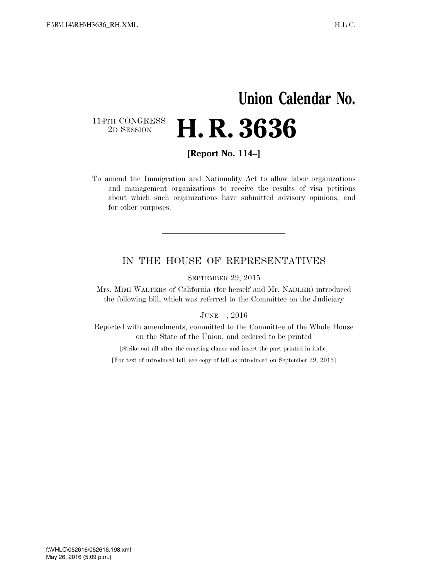## **Union Calendar No.**  114TH CONGRESS<br>2D SESSION 2D SESSION **H. R. 3636**

**[Report No. 114–]** 

To amend the Immigration and Nationality Act to allow labor organizations and management organizations to receive the results of visa petitions about which such organizations have submitted advisory opinions, and for other purposes.

## IN THE HOUSE OF REPRESENTATIVES

SEPTEMBER 29, 2015

Mrs. MIMI WALTERS of California (for herself and Mr. NADLER) introduced the following bill; which was referred to the Committee on the Judiciary

## JUNE --, 2016

Reported with amendments, committed to the Committee of the Whole House on the State of the Union, and ordered to be printed

[Strike out all after the enacting clause and insert the part printed in italic]

[For text of introduced bill, see copy of bill as introduced on September 29, 2015]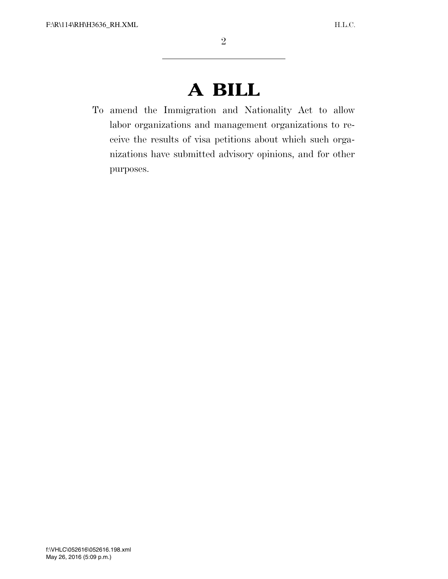## **A BILL**

To amend the Immigration and Nationality Act to allow labor organizations and management organizations to receive the results of visa petitions about which such organizations have submitted advisory opinions, and for other purposes.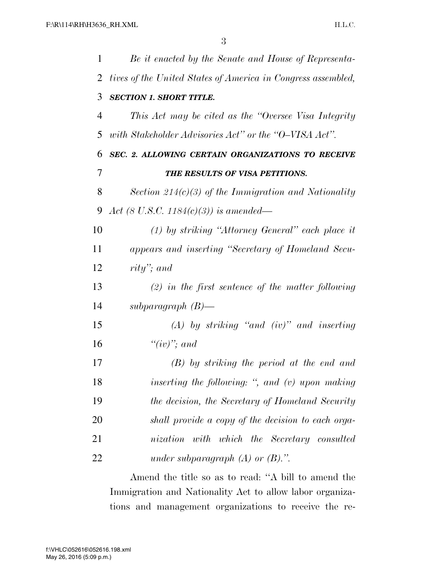| 1  | Be it enacted by the Senate and House of Representa-         |
|----|--------------------------------------------------------------|
| 2  | tives of the United States of America in Congress assembled, |
| 3  | <b>SECTION 1. SHORT TITLE.</b>                               |
| 4  | This Act may be cited as the "Oversee Visa Integrity"        |
| 5  | with Stakeholder Advisories Act" or the "O-VISA Act".        |
| 6  | SEC. 2. ALLOWING CERTAIN ORGANIZATIONS TO RECEIVE            |
| 7  | THE RESULTS OF VISA PETITIONS.                               |
| 8  | Section 214(c)(3) of the Immigration and Nationality         |
| 9  | Act (8 U.S.C. 1184(c)(3)) is amended—                        |
| 10 | $(1)$ by striking "Attorney General" each place it           |
| 11 | appears and inserting "Secretary of Homeland Secu-           |
| 12 | rity"; and                                                   |
| 13 | $(2)$ in the first sentence of the matter following          |
| 14 | subparagraph $(B)$ —                                         |
| 15 | $(A)$ by striking "and (iv)" and inserting                   |
| 16 | " $(iv)$ "; and                                              |
| 17 | $(B)$ by striking the period at the end and                  |
| 18 | inserting the following: ", and (v) upon making              |
| 19 | the decision, the Secretary of Homeland Security             |
| 20 | shall provide a copy of the decision to each orga-           |
| 21 | nization with which the Secretary consulted                  |
| 22 | under subparagraph $(A)$ or $(B)$ .".                        |
|    |                                                              |

Amend the title so as to read: ''A bill to amend the Immigration and Nationality Act to allow labor organizations and management organizations to receive the re